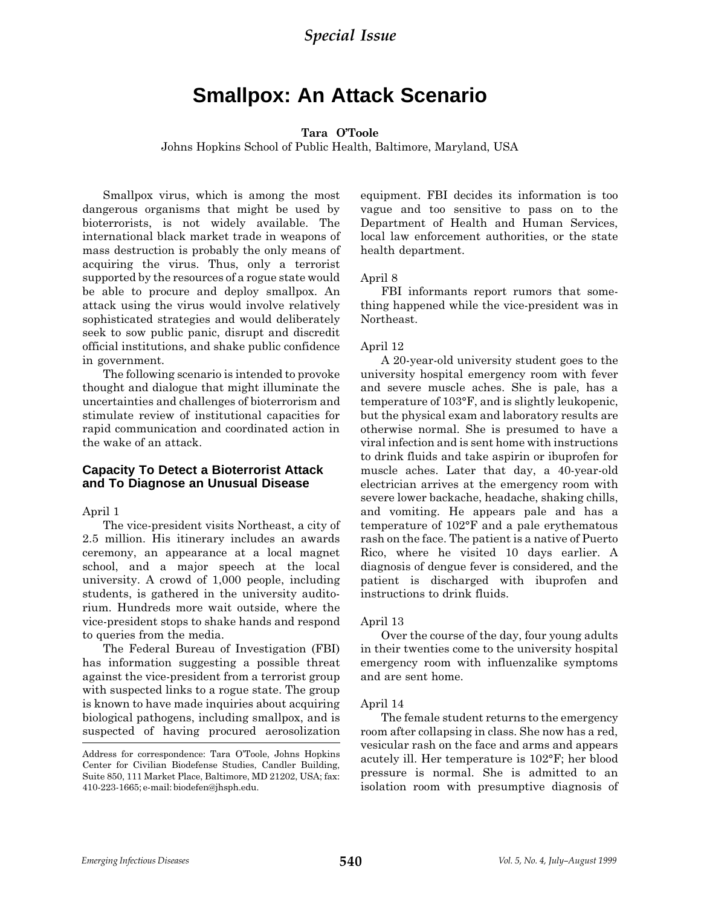# **Smallpox: An Attack Scenario**

### Tara O'Toole

Johns Hopkins School of Public Health, Baltimore, Maryland, USA

Smallpox virus, which is among the most dangerous organisms that might be used by bioterrorists, is not widely available. The international black market trade in weapons of mass destruction is probably the only means of acquiring the virus. Thus, only a terrorist supported by the resources of a rogue state would be able to procure and deploy smallpox. An attack using the virus would involve relatively sophisticated strategies and would deliberately seek to sow public panic, disrupt and discredit official institutions, and shake public confidence in government.

The following scenario is intended to provoke thought and dialogue that might illuminate the uncertainties and challenges of bioterrorism and stimulate review of institutional capacities for rapid communication and coordinated action in the wake of an attack.

### **Capacity To Detect a Bioterrorist Attack and To Diagnose an Unusual Disease**

#### April 1

The vice-president visits Northeast, a city of 2.5 million. His itinerary includes an awards ceremony, an appearance at a local magnet school, and a major speech at the local university. A crowd of 1,000 people, including students, is gathered in the university auditorium. Hundreds more wait outside, where the vice-president stops to shake hands and respond to queries from the media.

The Federal Bureau of Investigation (FBI) has information suggesting a possible threat against the vice-president from a terrorist group with suspected links to a rogue state. The group is known to have made inquiries about acquiring biological pathogens, including smallpox, and is suspected of having procured aerosolization equipment. FBI decides its information is too vague and too sensitive to pass on to the Department of Health and Human Services, local law enforcement authorities, or the state health department.

#### April 8

FBI informants report rumors that something happened while the vice-president was in Northeast.

#### April 12

A 20-year-old university student goes to the university hospital emergency room with fever and severe muscle aches. She is pale, has a temperature of 103°F, and is slightly leukopenic, but the physical exam and laboratory results are otherwise normal. She is presumed to have a viral infection and is sent home with instructions to drink fluids and take aspirin or ibuprofen for muscle aches. Later that day, a 40-year-old electrician arrives at the emergency room with severe lower backache, headache, shaking chills, and vomiting. He appears pale and has a temperature of 102°F and a pale erythematous rash on the face. The patient is a native of Puerto Rico, where he visited 10 days earlier. A diagnosis of dengue fever is considered, and the patient is discharged with ibuprofen and instructions to drink fluids.

#### April 13

Over the course of the day, four young adults in their twenties come to the university hospital emergency room with influenzalike symptoms and are sent home.

#### April 14

The female student returns to the emergency room after collapsing in class. She now has a red, vesicular rash on the face and arms and appears acutely ill. Her temperature is 102°F; her blood pressure is normal. She is admitted to an isolation room with presumptive diagnosis of

Address for correspondence: Tara OToole, Johns Hopkins Center for Civilian Biodefense Studies, Candler Building, Suite 850, 111 Market Place, Baltimore, MD 21202, USA; fax: 410-223-1665; e-mail: biodefen@jhsph.edu.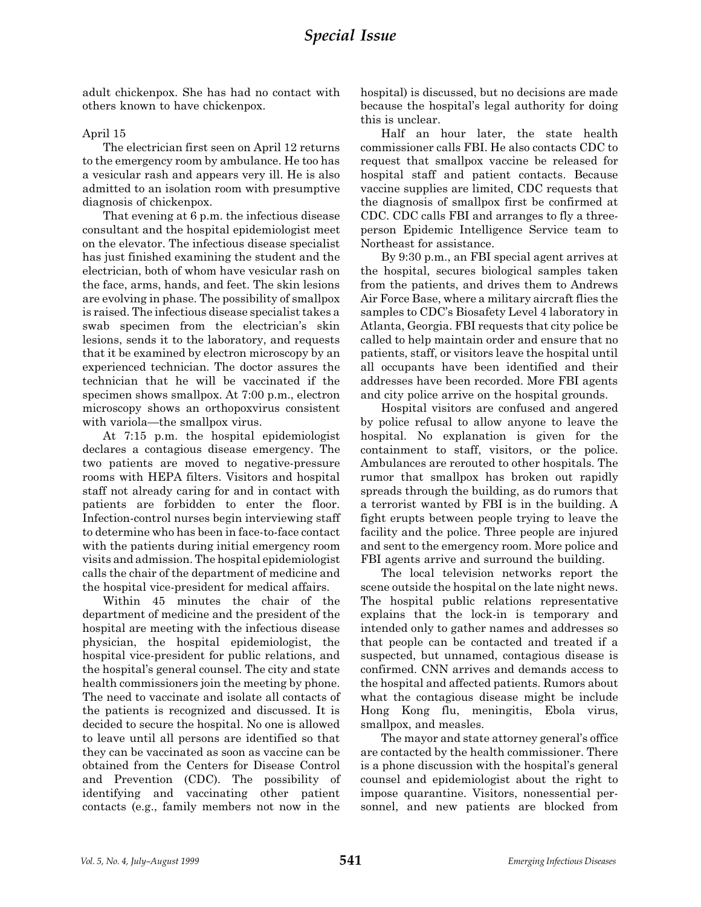adult chickenpox. She has had no contact with others known to have chickenpox.

#### April 15

The electrician first seen on April 12 returns to the emergency room by ambulance. He too has a vesicular rash and appears very ill. He is also admitted to an isolation room with presumptive diagnosis of chickenpox.

That evening at 6 p.m. the infectious disease consultant and the hospital epidemiologist meet on the elevator. The infectious disease specialist has just finished examining the student and the electrician, both of whom have vesicular rash on the face, arms, hands, and feet. The skin lesions are evolving in phase. The possibility of smallpox is raised. The infectious disease specialist takes a swab specimen from the electrician's skin lesions, sends it to the laboratory, and requests that it be examined by electron microscopy by an experienced technician. The doctor assures the technician that he will be vaccinated if the specimen shows smallpox. At 7:00 p.m., electron microscopy shows an orthopoxvirus consistent with variola—the smallpox virus.

At 7:15 p.m. the hospital epidemiologist declares a contagious disease emergency. The two patients are moved to negative-pressure rooms with HEPA filters. Visitors and hospital staff not already caring for and in contact with patients are forbidden to enter the floor. Infection-control nurses begin interviewing staff to determine who has been in face-to-face contact with the patients during initial emergency room visits and admission. The hospital epidemiologist calls the chair of the department of medicine and the hospital vice-president for medical affairs.

Within 45 minutes the chair of the department of medicine and the president of the hospital are meeting with the infectious disease physician, the hospital epidemiologist, the hospital vice-president for public relations, and the hospital's general counsel. The city and state health commissioners join the meeting by phone. The need to vaccinate and isolate all contacts of the patients is recognized and discussed. It is decided to secure the hospital. No one is allowed to leave until all persons are identified so that they can be vaccinated as soon as vaccine can be obtained from the Centers for Disease Control and Prevention (CDC). The possibility of identifying and vaccinating other patient contacts (e.g., family members not now in the hospital) is discussed, but no decisions are made because the hospital's legal authority for doing this is unclear.

Half an hour later, the state health commissioner calls FBI. He also contacts CDC to request that smallpox vaccine be released for hospital staff and patient contacts. Because vaccine supplies are limited, CDC requests that the diagnosis of smallpox first be confirmed at CDC. CDC calls FBI and arranges to fly a threeperson Epidemic Intelligence Service team to Northeast for assistance.

By 9:30 p.m., an FBI special agent arrives at the hospital, secures biological samples taken from the patients, and drives them to Andrews Air Force Base, where a military aircraft flies the samples to CDC's Biosafety Level 4 laboratory in Atlanta, Georgia. FBI requests that city police be called to help maintain order and ensure that no patients, staff, or visitors leave the hospital until all occupants have been identified and their addresses have been recorded. More FBI agents and city police arrive on the hospital grounds.

Hospital visitors are confused and angered by police refusal to allow anyone to leave the hospital. No explanation is given for the containment to staff, visitors, or the police. Ambulances are rerouted to other hospitals. The rumor that smallpox has broken out rapidly spreads through the building, as do rumors that a terrorist wanted by FBI is in the building. A fight erupts between people trying to leave the facility and the police. Three people are injured and sent to the emergency room. More police and FBI agents arrive and surround the building.

The local television networks report the scene outside the hospital on the late night news. The hospital public relations representative explains that the lock-in is temporary and intended only to gather names and addresses so that people can be contacted and treated if a suspected, but unnamed, contagious disease is confirmed. CNN arrives and demands access to the hospital and affected patients. Rumors about what the contagious disease might be include Hong Kong flu, meningitis, Ebola virus, smallpox, and measles.

The mayor and state attorney general's office are contacted by the health commissioner. There is a phone discussion with the hospital's general counsel and epidemiologist about the right to impose quarantine. Visitors, nonessential personnel, and new patients are blocked from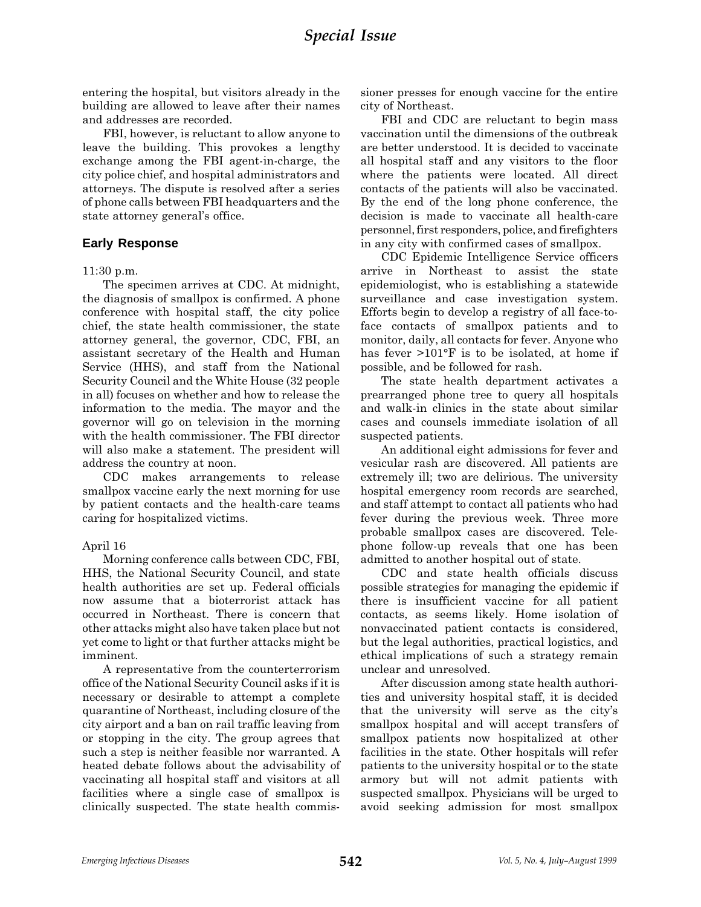entering the hospital, but visitors already in the building are allowed to leave after their names and addresses are recorded.

FBI, however, is reluctant to allow anyone to leave the building. This provokes a lengthy exchange among the FBI agent-in-charge, the city police chief, and hospital administrators and attorneys. The dispute is resolved after a series of phone calls between FBI headquarters and the state attorney general's office.

## **Early Response**

11:30 p.m.

The specimen arrives at CDC. At midnight, the diagnosis of smallpox is confirmed. A phone conference with hospital staff, the city police chief, the state health commissioner, the state attorney general, the governor, CDC, FBI, an assistant secretary of the Health and Human Service (HHS), and staff from the National Security Council and the White House (32 people in all) focuses on whether and how to release the information to the media. The mayor and the governor will go on television in the morning with the health commissioner. The FBI director will also make a statement. The president will address the country at noon.

CDC makes arrangements to release smallpox vaccine early the next morning for use by patient contacts and the health-care teams caring for hospitalized victims.

### April 16

Morning conference calls between CDC, FBI, HHS, the National Security Council, and state health authorities are set up. Federal officials now assume that a bioterrorist attack has occurred in Northeast. There is concern that other attacks might also have taken place but not yet come to light or that further attacks might be imminent.

A representative from the counterterrorism office of the National Security Council asks if it is necessary or desirable to attempt a complete quarantine of Northeast, including closure of the city airport and a ban on rail traffic leaving from or stopping in the city. The group agrees that such a step is neither feasible nor warranted. A heated debate follows about the advisability of vaccinating all hospital staff and visitors at all facilities where a single case of smallpox is clinically suspected. The state health commissioner presses for enough vaccine for the entire city of Northeast.

FBI and CDC are reluctant to begin mass vaccination until the dimensions of the outbreak are better understood. It is decided to vaccinate all hospital staff and any visitors to the floor where the patients were located. All direct contacts of the patients will also be vaccinated. By the end of the long phone conference, the decision is made to vaccinate all health-care personnel, first responders, police, and firefighters in any city with confirmed cases of smallpox.

CDC Epidemic Intelligence Service officers arrive in Northeast to assist the state epidemiologist, who is establishing a statewide surveillance and case investigation system. Efforts begin to develop a registry of all face-toface contacts of smallpox patients and to monitor, daily, all contacts for fever. Anyone who has fever >101°F is to be isolated, at home if possible, and be followed for rash.

The state health department activates a prearranged phone tree to query all hospitals and walk-in clinics in the state about similar cases and counsels immediate isolation of all suspected patients.

An additional eight admissions for fever and vesicular rash are discovered. All patients are extremely ill; two are delirious. The university hospital emergency room records are searched, and staff attempt to contact all patients who had fever during the previous week. Three more probable smallpox cases are discovered. Telephone follow-up reveals that one has been admitted to another hospital out of state.

CDC and state health officials discuss possible strategies for managing the epidemic if there is insufficient vaccine for all patient contacts, as seems likely. Home isolation of nonvaccinated patient contacts is considered, but the legal authorities, practical logistics, and ethical implications of such a strategy remain unclear and unresolved.

After discussion among state health authorities and university hospital staff, it is decided that the university will serve as the citys smallpox hospital and will accept transfers of smallpox patients now hospitalized at other facilities in the state. Other hospitals will refer patients to the university hospital or to the state armory but will not admit patients with suspected smallpox. Physicians will be urged to avoid seeking admission for most smallpox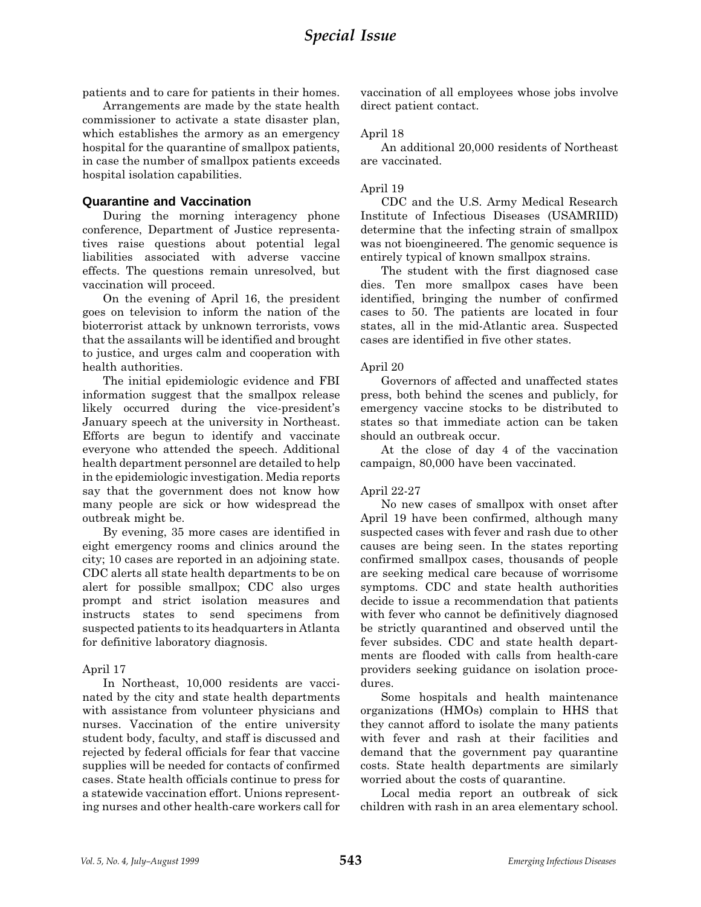patients and to care for patients in their homes.

Arrangements are made by the state health commissioner to activate a state disaster plan, which establishes the armory as an emergency hospital for the quarantine of smallpox patients, in case the number of smallpox patients exceeds hospital isolation capabilities.

## **Quarantine and Vaccination**

During the morning interagency phone conference, Department of Justice representatives raise questions about potential legal liabilities associated with adverse vaccine effects. The questions remain unresolved, but vaccination will proceed.

On the evening of April 16, the president goes on television to inform the nation of the bioterrorist attack by unknown terrorists, vows that the assailants will be identified and brought to justice, and urges calm and cooperation with health authorities.

The initial epidemiologic evidence and FBI information suggest that the smallpox release likely occurred during the vice-president's January speech at the university in Northeast. Efforts are begun to identify and vaccinate everyone who attended the speech. Additional health department personnel are detailed to help in the epidemiologic investigation. Media reports say that the government does not know how many people are sick or how widespread the outbreak might be.

By evening, 35 more cases are identified in eight emergency rooms and clinics around the city; 10 cases are reported in an adjoining state. CDC alerts all state health departments to be on alert for possible smallpox; CDC also urges prompt and strict isolation measures and instructs states to send specimens from suspected patients to its headquarters in Atlanta for definitive laboratory diagnosis.

### April 17

In Northeast, 10,000 residents are vaccinated by the city and state health departments with assistance from volunteer physicians and nurses. Vaccination of the entire university student body, faculty, and staff is discussed and rejected by federal officials for fear that vaccine supplies will be needed for contacts of confirmed cases. State health officials continue to press for a statewide vaccination effort. Unions representing nurses and other health-care workers call for vaccination of all employees whose jobs involve direct patient contact.

### April 18

An additional 20,000 residents of Northeast are vaccinated.

### April 19

CDC and the U.S. Army Medical Research Institute of Infectious Diseases (USAMRIID) determine that the infecting strain of smallpox was not bioengineered. The genomic sequence is entirely typical of known smallpox strains.

The student with the first diagnosed case dies. Ten more smallpox cases have been identified, bringing the number of confirmed cases to 50. The patients are located in four states, all in the mid-Atlantic area. Suspected cases are identified in five other states.

### April 20

Governors of affected and unaffected states press, both behind the scenes and publicly, for emergency vaccine stocks to be distributed to states so that immediate action can be taken should an outbreak occur.

At the close of day 4 of the vaccination campaign, 80,000 have been vaccinated.

### April 22-27

No new cases of smallpox with onset after April 19 have been confirmed, although many suspected cases with fever and rash due to other causes are being seen. In the states reporting confirmed smallpox cases, thousands of people are seeking medical care because of worrisome symptoms. CDC and state health authorities decide to issue a recommendation that patients with fever who cannot be definitively diagnosed be strictly quarantined and observed until the fever subsides. CDC and state health departments are flooded with calls from health-care providers seeking guidance on isolation procedures.

Some hospitals and health maintenance organizations (HMOs) complain to HHS that they cannot afford to isolate the many patients with fever and rash at their facilities and demand that the government pay quarantine costs. State health departments are similarly worried about the costs of quarantine.

Local media report an outbreak of sick children with rash in an area elementary school.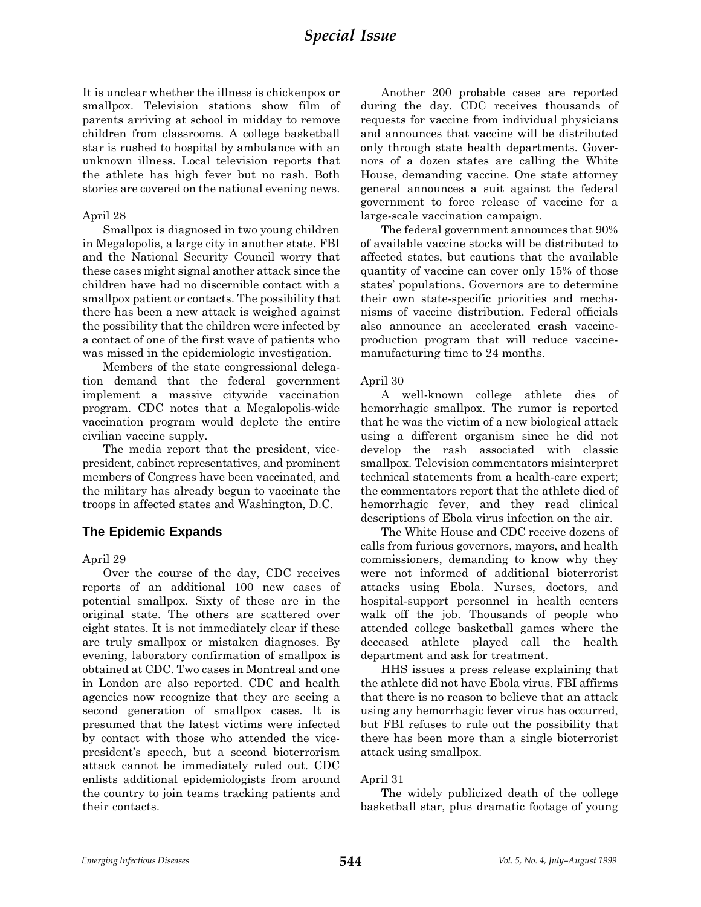It is unclear whether the illness is chickenpox or smallpox. Television stations show film of parents arriving at school in midday to remove children from classrooms. A college basketball star is rushed to hospital by ambulance with an unknown illness. Local television reports that the athlete has high fever but no rash. Both stories are covered on the national evening news.

#### April 28

Smallpox is diagnosed in two young children in Megalopolis, a large city in another state. FBI and the National Security Council worry that these cases might signal another attack since the children have had no discernible contact with a smallpox patient or contacts. The possibility that there has been a new attack is weighed against the possibility that the children were infected by a contact of one of the first wave of patients who was missed in the epidemiologic investigation.

Members of the state congressional delegation demand that the federal government implement a massive citywide vaccination program. CDC notes that a Megalopolis-wide vaccination program would deplete the entire civilian vaccine supply.

The media report that the president, vicepresident, cabinet representatives, and prominent members of Congress have been vaccinated, and the military has already begun to vaccinate the troops in affected states and Washington, D.C.

### **The Epidemic Expands**

April 29

Over the course of the day, CDC receives reports of an additional 100 new cases of potential smallpox. Sixty of these are in the original state. The others are scattered over eight states. It is not immediately clear if these are truly smallpox or mistaken diagnoses. By evening, laboratory confirmation of smallpox is obtained at CDC. Two cases in Montreal and one in London are also reported. CDC and health agencies now recognize that they are seeing a second generation of smallpox cases. It is presumed that the latest victims were infected by contact with those who attended the vicepresident's speech, but a second bioterrorism attack cannot be immediately ruled out. CDC enlists additional epidemiologists from around the country to join teams tracking patients and their contacts.

Another 200 probable cases are reported during the day. CDC receives thousands of requests for vaccine from individual physicians and announces that vaccine will be distributed only through state health departments. Governors of a dozen states are calling the White House, demanding vaccine. One state attorney general announces a suit against the federal government to force release of vaccine for a large-scale vaccination campaign.

The federal government announces that 90% of available vaccine stocks will be distributed to affected states, but cautions that the available quantity of vaccine can cover only 15% of those states' populations. Governors are to determine their own state-specific priorities and mechanisms of vaccine distribution. Federal officials also announce an accelerated crash vaccineproduction program that will reduce vaccinemanufacturing time to 24 months.

#### April 30

A well-known college athlete dies of hemorrhagic smallpox. The rumor is reported that he was the victim of a new biological attack using a different organism since he did not develop the rash associated with classic smallpox. Television commentators misinterpret technical statements from a health-care expert; the commentators report that the athlete died of hemorrhagic fever, and they read clinical descriptions of Ebola virus infection on the air.

The White House and CDC receive dozens of calls from furious governors, mayors, and health commissioners, demanding to know why they were not informed of additional bioterrorist attacks using Ebola. Nurses, doctors, and hospital-support personnel in health centers walk off the job. Thousands of people who attended college basketball games where the deceased athlete played call the health department and ask for treatment.

HHS issues a press release explaining that the athlete did not have Ebola virus. FBI affirms that there is no reason to believe that an attack using any hemorrhagic fever virus has occurred, but FBI refuses to rule out the possibility that there has been more than a single bioterrorist attack using smallpox.

### April 31

The widely publicized death of the college basketball star, plus dramatic footage of young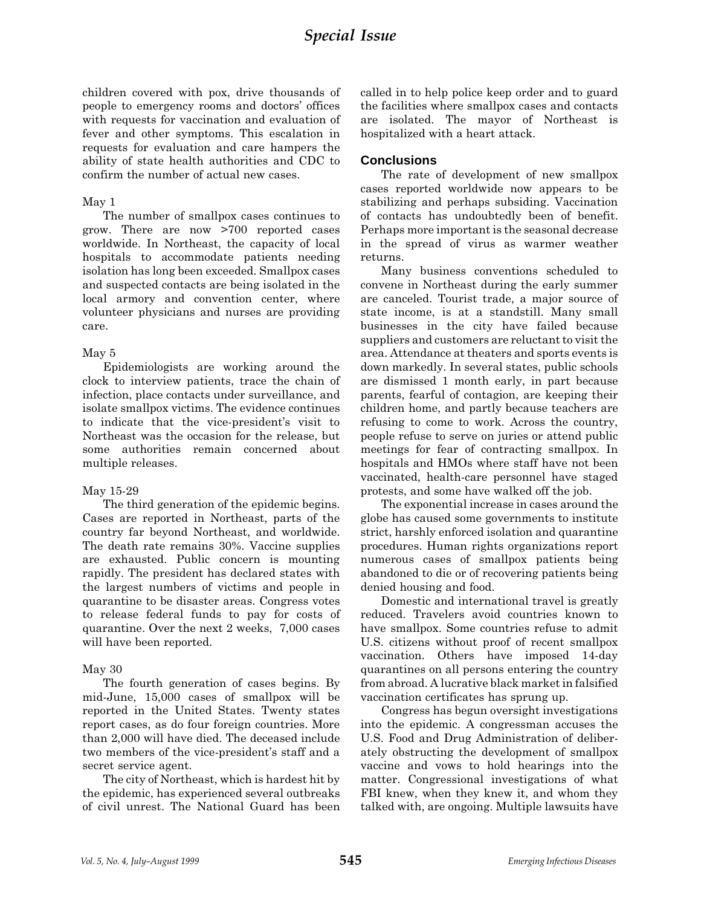children covered with pox, drive thousands of people to emergency rooms and doctors' offices with requests for vaccination and evaluation of fever and other symptoms. This escalation in requests for evaluation and care hampers the ability of state health authorities and CDC to confirm the number of actual new cases.

#### May 1

The number of smallpox cases continues to grow. There are now >700 reported cases worldwide. In Northeast, the capacity of local hospitals to accommodate patients needing isolation has long been exceeded. Smallpox cases and suspected contacts are being isolated in the local armory and convention center, where volunteer physicians and nurses are providing care.

#### May 5

Epidemiologists are working around the clock to interview patients, trace the chain of infection, place contacts under surveillance, and isolate smallpox victims. The evidence continues to indicate that the vice-president's visit to Northeast was the occasion for the release, but some authorities remain concerned about multiple releases.

### May 15-29

The third generation of the epidemic begins. Cases are reported in Northeast, parts of the country far beyond Northeast, and worldwide. The death rate remains 30%. Vaccine supplies are exhausted. Public concern is mounting rapidly. The president has declared states with the largest numbers of victims and people in quarantine to be disaster areas. Congress votes to release federal funds to pay for costs of quarantine. Over the next 2 weeks, 7,000 cases will have been reported.

#### May 30

The fourth generation of cases begins. By mid-June, 15,000 cases of smallpox will be reported in the United States. Twenty states report cases, as do four foreign countries. More than 2,000 will have died. The deceased include two members of the vice-president's staff and a secret service agent.

The city of Northeast, which is hardest hit by the epidemic, has experienced several outbreaks of civil unrest. The National Guard has been called in to help police keep order and to guard the facilities where smallpox cases and contacts are isolated. The mayor of Northeast is hospitalized with a heart attack.

### **Conclusions**

The rate of development of new smallpox cases reported worldwide now appears to be stabilizing and perhaps subsiding. Vaccination of contacts has undoubtedly been of benefit. Perhaps more important is the seasonal decrease in the spread of virus as warmer weather returns.

Many business conventions scheduled to convene in Northeast during the early summer are canceled. Tourist trade, a major source of state income, is at a standstill. Many small businesses in the city have failed because suppliers and customers are reluctant to visit the area. Attendance at theaters and sports events is down markedly. In several states, public schools are dismissed 1 month early, in part because parents, fearful of contagion, are keeping their children home, and partly because teachers are refusing to come to work. Across the country, people refuse to serve on juries or attend public meetings for fear of contracting smallpox. In hospitals and HMOs where staff have not been vaccinated, health-care personnel have staged protests, and some have walked off the job.

The exponential increase in cases around the globe has caused some governments to institute strict, harshly enforced isolation and quarantine procedures. Human rights organizations report numerous cases of smallpox patients being abandoned to die or of recovering patients being denied housing and food.

Domestic and international travel is greatly reduced. Travelers avoid countries known to have smallpox. Some countries refuse to admit U.S. citizens without proof of recent smallpox vaccination. Others have imposed 14-day quarantines on all persons entering the country from abroad. A lucrative black market in falsified vaccination certificates has sprung up.

Congress has begun oversight investigations into the epidemic. A congressman accuses the U.S. Food and Drug Administration of deliberately obstructing the development of smallpox vaccine and vows to hold hearings into the matter. Congressional investigations of what FBI knew, when they knew it, and whom they talked with, are ongoing. Multiple lawsuits have